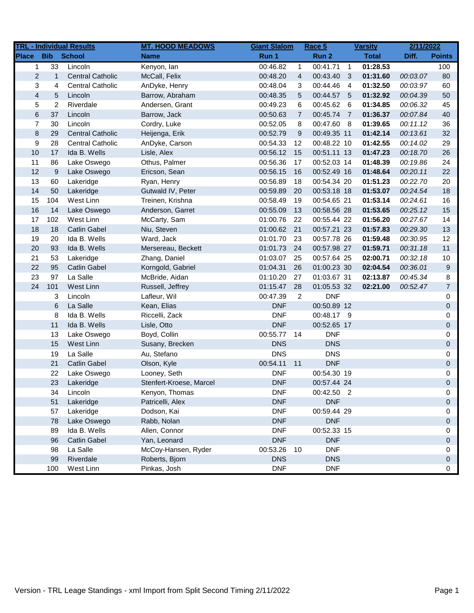|                         |                | <b>TRL - Individual Results</b> | <b>MT. HOOD MEADOWS</b> | <b>Giant Slalom</b> |                | Race 5      |                         | <b>Varsity</b> | 2/11/2022 |                  |
|-------------------------|----------------|---------------------------------|-------------------------|---------------------|----------------|-------------|-------------------------|----------------|-----------|------------------|
| <b>Place</b>            | <b>Bib</b>     | School                          | <b>Name</b>             | Run 1               |                | Run 2       |                         | <b>Total</b>   | Diff.     | <b>Points</b>    |
| $\mathbf 1$             | 33             | Lincoln                         | Kenyon, lan             | 00:46.82            | $\mathbf{1}$   | 00:41.71    | $\overline{1}$          | 01:28.53       |           | 100              |
| $\overline{2}$          | $\mathbf{1}$   | <b>Central Catholic</b>         | McCall, Felix           | 00:48.20            | $\overline{4}$ | 00:43.40    | $\overline{\mathbf{3}}$ | 01:31.60       | 00:03.07  | 80               |
| 3                       | 4              | <b>Central Catholic</b>         | AnDyke, Henry           | 00:48.04            | 3              | 00:44.46    | $\overline{4}$          | 01:32.50       | 00:03.97  | 60               |
| $\overline{\mathbf{4}}$ | 5              | Lincoln                         | Barrow, Abraham         | 00:48.35            | 5              | 00:44.57 5  |                         | 01:32.92       | 00:04.39  | 50               |
| 5                       | $\overline{2}$ | Riverdale                       | Andersen, Grant         | 00:49.23            | 6              | 00:45.62    | 6                       | 01:34.85       | 00:06.32  | 45               |
| $\,$ 6 $\,$             | 37             | Lincoln                         | Barrow, Jack            | 00:50.63            | $\overline{7}$ | 00:45.74    | - 7                     | 01:36.37       | 00:07.84  | 40               |
| $\overline{7}$          | 30             | Lincoln                         | Cordry, Luke            | 00:52.05            | 8              | 00:47.60 8  |                         | 01:39.65       | 00:11.12  | 36               |
| $\bf 8$                 | 29             | <b>Central Catholic</b>         | Heijenga, Erik          | 00:52.79            | 9              | 00:49.35 11 |                         | 01:42.14       | 00:13.61  | 32               |
| 9                       | 28             | <b>Central Catholic</b>         | AnDyke, Carson          | 00:54.33            | 12             | 00:48.22 10 |                         | 01:42.55       | 00:14.02  | 29               |
| 10                      | 17             | Ida B. Wells                    | Lisle, Alex             | 00:56.12            | 15             | 00:51.11 13 |                         | 01:47.23       | 00:18.70  | 26               |
| 11                      | 86             | Lake Oswego                     | Othus, Palmer           | 00:56.36            | 17             | 00:52.03 14 |                         | 01:48.39       | 00:19.86  | 24               |
| 12                      | 9              | Lake Oswego                     | Ericson, Sean           | 00:56.15            | 16             | 00:52.49 16 |                         | 01:48.64       | 00:20.11  | 22               |
| 13                      | 60             | Lakeridge                       | Ryan, Henry             | 00:56.89            | 18             | 00:54.34 20 |                         | 01:51.23       | 00:22.70  | 20               |
| 14                      | 50             | Lakeridge                       | Gutwald IV, Peter       | 00:59.89            | 20             | 00:53.18 18 |                         | 01:53.07       | 00:24.54  | 18               |
| 15                      | 104            | West Linn                       | Treinen, Krishna        | 00:58.49            | 19             | 00:54.65 21 |                         | 01:53.14       | 00:24.61  | 16               |
| 16                      | 14             | Lake Oswego                     | Anderson, Garret        | 00:55.09            | 13             | 00:58.56 28 |                         | 01:53.65       | 00:25.12  | 15               |
| 17                      | 102            | West Linn                       | McCarty, Sam            | 01:00.76            | 22             | 00:55.44 22 |                         | 01:56.20       | 00:27.67  | 14               |
| 18                      | 18             | <b>Catlin Gabel</b>             | Niu, Steven             | 01:00.62            | 21             | 00:57.21 23 |                         | 01:57.83       | 00:29.30  | 13               |
| 19                      | 20             | Ida B. Wells                    | Ward, Jack              | 01:01.70            | 23             | 00:57.78 26 |                         | 01:59.48       | 00:30.95  | 12               |
| 20                      | 93             | Ida B. Wells                    | Mersereau, Beckett      | 01:01.73            | 24             | 00:57.98 27 |                         | 01:59.71       | 00:31.18  | 11               |
| 21                      | 53             | Lakeridge                       | Zhang, Daniel           | 01:03.07            | 25             | 00:57.64 25 |                         | 02:00.71       | 00:32.18  | $10$             |
| 22                      | 95             | <b>Catlin Gabel</b>             | Korngold, Gabriel       | 01:04.31            | 26             | 01:00.23 30 |                         | 02:04.54       | 00:36.01  | $\boldsymbol{9}$ |
| 23                      | 97             | La Salle                        | McBride, Aidan          | 01:10.20            | 27             | 01:03.67 31 |                         | 02:13.87       | 00:45.34  | 8                |
| 24                      | 101            | West Linn                       | Russell, Jeffrey        | 01:15.47            | 28             | 01:05.53 32 |                         | 02:21.00       | 00:52.47  | $\overline{7}$   |
|                         | 3              | Lincoln                         | Lafleur, Wil            | 00:47.39            | 2              | <b>DNF</b>  |                         |                |           | 0                |
|                         | 6              | La Salle                        | Kean, Elias             | <b>DNF</b>          |                | 00:50.89 12 |                         |                |           | $\mathbf 0$      |
|                         | 8              | Ida B. Wells                    | Riccelli, Zack          | <b>DNF</b>          |                | 00:48.17 9  |                         |                |           | 0                |
|                         | 11             | Ida B. Wells                    | Lisle, Otto             | <b>DNF</b>          |                | 00:52.65 17 |                         |                |           | $\pmb{0}$        |
|                         | 13             | Lake Oswego                     | Boyd, Collin            | 00:55.77            | 14             | <b>DNF</b>  |                         |                |           | 0                |
|                         | 15             | West Linn                       | Susany, Brecken         | <b>DNS</b>          |                | <b>DNS</b>  |                         |                |           | $\mathbf 0$      |
|                         | 19             | La Salle                        | Au, Stefano             | <b>DNS</b>          |                | <b>DNS</b>  |                         |                |           | 0                |
|                         | 21             | <b>Catlin Gabel</b>             | Olson, Kyle             | 00:54.11            | 11             | <b>DNF</b>  |                         |                |           | $\boldsymbol{0}$ |
|                         | 22             | Lake Oswego                     | Looney, Seth            | <b>DNF</b>          |                | 00:54.30 19 |                         |                |           | 0                |
|                         | 23             | Lakeridge                       | Stenfert-Kroese, Marcel | <b>DNF</b>          |                | 00:57.44 24 |                         |                |           | 0                |
|                         | 34             | Lincoln                         | Kenyon, Thomas          | <b>DNF</b>          |                | 00:42.50 2  |                         |                |           | 0                |
|                         | 51             | Lakeridge                       | Patricelli, Alex        | <b>DNF</b>          |                | <b>DNF</b>  |                         |                |           | $\mathbf 0$      |
|                         | 57             | Lakeridge                       | Dodson, Kai             | <b>DNF</b>          |                | 00:59.44 29 |                         |                |           | 0                |
|                         | 78             | Lake Oswego                     | Rabb, Nolan             | <b>DNF</b>          |                | <b>DNF</b>  |                         |                |           | $\mathbf 0$      |
|                         | 89             | Ida B. Wells                    | Allen, Connor           | <b>DNF</b>          |                | 00:52.33 15 |                         |                |           | 0                |
|                         | 96             | <b>Catlin Gabel</b>             | Yan, Leonard            | <b>DNF</b>          |                | <b>DNF</b>  |                         |                |           | $\mathbf 0$      |
|                         | 98             | La Salle                        | McCoy-Hansen, Ryder     | 00:53.26            | 10             | <b>DNF</b>  |                         |                |           | 0                |
|                         | 99             | Riverdale                       | Roberts, Bjorn          | <b>DNS</b>          |                | <b>DNS</b>  |                         |                |           | $\mathbf 0$      |
|                         | 100            | West Linn                       | Pinkas, Josh            | <b>DNF</b>          |                | <b>DNF</b>  |                         |                |           | 0                |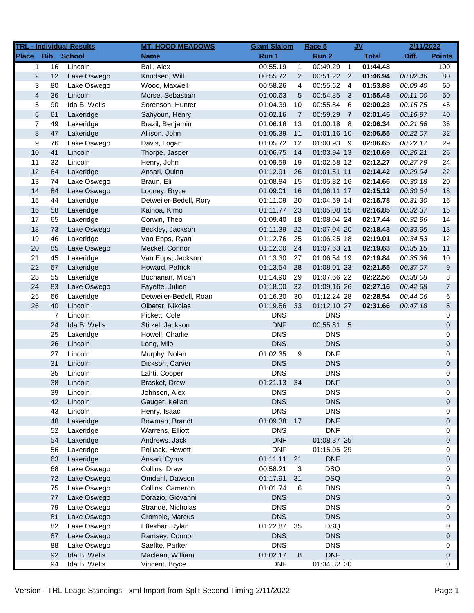|                         |            | <b>TRL - Individual Results</b> | <b>MT. HOOD MEADOWS</b> | <b>Giant Slalom</b> |                | Race 5      |                            | $g$          | 2/11/2022 |                |
|-------------------------|------------|---------------------------------|-------------------------|---------------------|----------------|-------------|----------------------------|--------------|-----------|----------------|
| <b>Place</b>            | <b>Bib</b> | <b>School</b>                   | <b>Name</b>             | Run 1               |                | Run 2       |                            | <b>Total</b> | Diff.     | <b>Points</b>  |
| 1                       | 16         | Lincoln                         | Ball, Alex              | 00:55.19            | $\mathbf{1}$   | 00:49.29    | $\overline{1}$             | 01:44.48     |           | 100            |
| $\overline{c}$          | 12         | Lake Oswego                     | Knudsen, Will           | 00:55.72            | $\overline{2}$ | 00:51.22    | $\overline{\phantom{0}}^2$ | 01:46.94     | 00:02.46  | 80             |
| 3                       | 80         | Lake Oswego                     | Wood, Maxwell           | 00:58.26            | 4              | 00:55.62    | $\overline{4}$             | 01:53.88     | 00:09.40  | 60             |
| $\overline{\mathbf{4}}$ | 36         | Lincoln                         | Morse, Sebastian        | 01:00.63            | 5              | 00:54.85    | 3                          | 01:55.48     | 00:11.00  | 50             |
| 5                       | 90         | Ida B. Wells                    | Sorenson, Hunter        | 01:04.39            | 10             | 00:55.84    | 6                          | 02:00.23     | 00:15.75  | 45             |
| $\,6$                   | 61         | Lakeridge                       | Sahyoun, Henry          | 01:02.16            | $\overline{7}$ | 00:59.29    | $\overline{7}$             | 02:01.45     | 00:16.97  | 40             |
| $\overline{7}$          | 49         | Lakeridge                       | Brazil, Benjamin        | 01:06.16            | 13             | 01:00.18    | - 8                        | 02:06.34     | 00:21.86  | 36             |
| $\bf 8$                 | 47         | Lakeridge                       | Allison, John           | 01:05.39            | 11             | 01:01.16 10 |                            | 02:06.55     | 00:22.07  | 32             |
| 9                       | 76         | Lake Oswego                     | Davis, Logan            | 01:05.72            | 12             | 01:00.93 9  |                            | 02:06.65     | 00:22.17  | 29             |
| 10                      | 41         | Lincoln                         | Thorpe, Jasper          | 01:06.75            | 14             | 01:03.94 13 |                            | 02:10.69     | 00:26.21  | 26             |
| 11                      | 32         | Lincoln                         | Henry, John             | 01:09.59            | 19             | 01:02.68 12 |                            | 02:12.27     | 00:27.79  | 24             |
| 12                      | 64         | Lakeridge                       | Ansari, Quinn           | 01:12.91            | 26             | 01:01.51 11 |                            | 02:14.42     | 00:29.94  | 22             |
| 13                      | 74         | Lake Oswego                     | Braun, Eli              | 01:08.84            | 15             | 01:05.82 16 |                            | 02:14.66     | 00:30.18  | 20             |
| 14                      | 84         | Lake Oswego                     | Looney, Bryce           | 01:09.01            | 16             | 01:06.11 17 |                            | 02:15.12     | 00:30.64  | 18             |
| 15                      | 44         | Lakeridge                       | Detweiler-Bedell, Rory  | 01:11.09            | 20             | 01:04.69 14 |                            | 02:15.78     | 00:31.30  | 16             |
| 16                      | 58         | Lakeridge                       | Kainoa, Kimo            | 01:11.77            | 23             | 01:05.08 15 |                            | 02:16.85     | 00:32.37  | 15             |
| 17                      | 65         | Lakeridge                       | Corwin, Theo            | 01:09.40            | 18             | 01:08.04 24 |                            | 02:17.44     | 00:32.96  | 14             |
| 18                      | 73         | Lake Oswego                     | Beckley, Jackson        | 01:11.39            | 22             | 01:07.04 20 |                            | 02:18.43     | 00:33.95  | 13             |
| 19                      | 46         | Lakeridge                       | Van Epps, Ryan          | 01:12.76            | 25             | 01:06.25 18 |                            | 02:19.01     | 00:34.53  | 12             |
| 20                      | 85         | Lake Oswego                     | Meckel, Connor          | 01:12.00            | 24             | 01:07.63 21 |                            | 02:19.63     | 00:35.15  | 11             |
| 21                      | 45         | Lakeridge                       | Van Epps, Jackson       | 01:13.30            | 27             | 01:06.54 19 |                            | 02:19.84     | 00:35.36  | 10             |
| 22                      | 67         | Lakeridge                       | Howard, Patrick         | 01:13.54            | 28             | 01:08.01 23 |                            | 02:21.55     | 00:37.07  | 9              |
| 23                      | 55         | Lakeridge                       | Buchanan, Micah         | 01:14.90            | 29             | 01:07.66 22 |                            | 02:22.56     | 00:38.08  | 8              |
| 24                      | 83         | Lake Oswego                     | Fayette, Julien         | 01:18.00            | 32             | 01:09.16 26 |                            | 02:27.16     | 00:42.68  | $\overline{7}$ |
| 25                      | 66         | Lakeridge                       | Detweiler-Bedell, Roan  | 01:16.30            | 30             | 01:12.24 28 |                            | 02:28.54     | 00:44.06  | 6              |
| 26                      | 40         | Lincoln                         | Olbeter, Nikolas        | 01:19.56            | 33             | 01:12.10 27 |                            | 02:31.66     | 00:47.18  | 5              |
|                         | 7          | Lincoln                         | Pickett, Cole           | <b>DNS</b>          |                | <b>DNS</b>  |                            |              |           | 0              |
|                         | 24         | Ida B. Wells                    | Stitzel, Jackson        | <b>DNF</b>          |                | 00:55.81    | $5\phantom{.0}$            |              |           | 0              |
|                         | 25         | Lakeridge                       | Howell, Charlie         | <b>DNS</b>          |                | <b>DNS</b>  |                            |              |           | 0              |
|                         | 26         | Lincoln                         | Long, Milo              | <b>DNS</b>          |                | <b>DNS</b>  |                            |              |           | 0              |
|                         | 27         | Lincoln                         | Murphy, Nolan           | 01:02.35            | 9              | <b>DNF</b>  |                            |              |           | 0              |
|                         | 31         | Lincoln                         | Dickson, Carver         | <b>DNS</b>          |                | <b>DNS</b>  |                            |              |           | 0              |
|                         | 35         | Lincoln                         | Lahti, Cooper           | <b>DNS</b>          |                | <b>DNS</b>  |                            |              |           | 0              |
|                         | 38         | Lincoln                         | Brasket, Drew           | 01:21.13            | 34             | <b>DNF</b>  |                            |              |           | 0              |
|                         | 39         | Lincoln                         | Johnson, Alex           | <b>DNS</b>          |                | <b>DNS</b>  |                            |              |           | 0              |
|                         | 42         | Lincoln                         | Gauger, Kellan          | <b>DNS</b>          |                | <b>DNS</b>  |                            |              |           | 0              |
|                         | 43         | Lincoln                         | Henry, Isaac            | <b>DNS</b>          |                | <b>DNS</b>  |                            |              |           | 0              |
|                         | 48         | Lakeridge                       | Bowman, Brandt          | 01:09.38            | 17             | <b>DNF</b>  |                            |              |           | 0              |
|                         | 52         | Lakeridge                       | Warrens, Elliott        | <b>DNS</b>          |                | <b>DNF</b>  |                            |              |           | 0              |
|                         | 54         | Lakeridge                       | Andrews, Jack           | <b>DNF</b>          |                | 01:08.37 25 |                            |              |           | 0              |
|                         | 56         | Lakeridge                       | Polliack, Hewett        | <b>DNF</b>          |                | 01:15.05 29 |                            |              |           | 0              |
|                         | 63         | Lakeridge                       | Ansari, Cyrus           | 01:11.11            | 21             | <b>DNF</b>  |                            |              |           | 0              |
|                         | 68         | Lake Oswego                     | Collins, Drew           | 00:58.21            | 3              | <b>DSQ</b>  |                            |              |           | 0              |
|                         | 72         | Lake Oswego                     | Omdahl, Dawson          | 01:17.91            | 31             | <b>DSQ</b>  |                            |              |           | 0              |
|                         | 75         | Lake Oswego                     | Collins, Cameron        | 01:01.74            | 6              | <b>DNS</b>  |                            |              |           | 0              |
|                         | 77         | Lake Oswego                     | Dorazio, Giovanni       | <b>DNS</b>          |                | <b>DNS</b>  |                            |              |           | 0              |
|                         | 79         | Lake Oswego                     | Strande, Nicholas       | <b>DNS</b>          |                | <b>DNS</b>  |                            |              |           | 0              |
|                         | 81         | Lake Oswego                     | Crombie, Marcus         | <b>DNS</b>          |                | <b>DNS</b>  |                            |              |           | 0              |
|                         | 82         | Lake Oswego                     | Eftekhar, Rylan         | 01:22.87            | 35             | <b>DSQ</b>  |                            |              |           | 0              |
|                         | 87         | Lake Oswego                     | Ramsey, Connor          | <b>DNS</b>          |                | <b>DNS</b>  |                            |              |           | 0              |
|                         | 88         | Lake Oswego                     | Saefke, Parker          | <b>DNS</b>          |                | <b>DNS</b>  |                            |              |           | 0              |
|                         | 92         | Ida B. Wells                    | Maclean, William        | 01:02.17            | 8              | <b>DNF</b>  |                            |              |           | 0              |
|                         | 94         | Ida B. Wells                    | Vincent, Bryce          | <b>DNF</b>          |                | 01:34.32 30 |                            |              |           | 0              |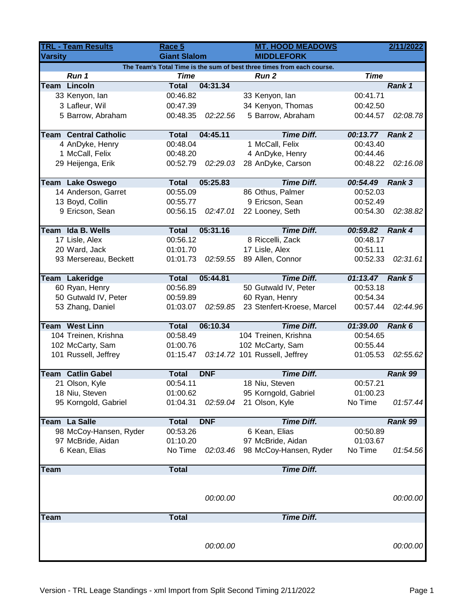| <b>TRL - Team Results</b>                                              |                              | Race 5                   |            | <b>MT. HOOD MEADOWS</b>       |                 |          |  |  |  |
|------------------------------------------------------------------------|------------------------------|--------------------------|------------|-------------------------------|-----------------|----------|--|--|--|
| <b>Varsity</b>                                                         |                              | <b>Giant Slalom</b>      |            | <b>MIDDLEFORK</b>             |                 |          |  |  |  |
| The Team's Total Time is the sum of best three times from each course. |                              |                          |            |                               |                 |          |  |  |  |
|                                                                        | Run 1                        | <b>Time</b>              |            | <b>Run 2</b>                  | <b>Time</b>     |          |  |  |  |
|                                                                        | <b>Team Lincoln</b>          | <b>Total</b>             | 04:31.34   |                               |                 | Rank 1   |  |  |  |
|                                                                        | 33 Kenyon, lan               | 00:46.82                 |            | 33 Kenyon, lan                | 00:41.71        |          |  |  |  |
|                                                                        | 3 Lafleur, Wil               | 00:47.39                 |            | 34 Kenyon, Thomas             | 00:42.50        |          |  |  |  |
|                                                                        | 5 Barrow, Abraham            | 00:48.35                 | 02:22.56   | 5 Barrow, Abraham             | 00:44.57        | 02:08.78 |  |  |  |
|                                                                        | <b>Team Central Catholic</b> | <b>Total</b>             | 04:45.11   | <b>Time Diff.</b>             | 00:13.77 Rank 2 |          |  |  |  |
|                                                                        | 4 AnDyke, Henry              | 00:48.04                 |            | 1 McCall, Felix               | 00:43.40        |          |  |  |  |
|                                                                        | 1 McCall, Felix              | 00:48.20                 |            | 4 AnDyke, Henry               | 00:44.46        |          |  |  |  |
|                                                                        | 29 Heijenga, Erik            | 00:52.79                 | 02:29.03   | 28 AnDyke, Carson             | 00:48.22        | 02:16.08 |  |  |  |
|                                                                        |                              |                          |            |                               |                 |          |  |  |  |
|                                                                        | <b>Team Lake Oswego</b>      | <b>Total</b>             | 05:25.83   | <b>Time Diff.</b>             | 00:54.49        | Rank 3   |  |  |  |
|                                                                        | 14 Anderson, Garret          | 00:55.09                 |            | 86 Othus, Palmer              | 00:52.03        |          |  |  |  |
|                                                                        | 13 Boyd, Collin              | 00:55.77                 |            | 9 Ericson, Sean               | 00:52.49        |          |  |  |  |
|                                                                        | 9 Ericson, Sean              | 00:56.15                 | 02:47.01   | 22 Looney, Seth               | 00:54.30        | 02:38.82 |  |  |  |
|                                                                        |                              |                          | 05:31.16   | <b>Time Diff.</b>             | 00:59.82        |          |  |  |  |
| Team                                                                   | Ida B. Wells                 | <b>Total</b><br>00:56.12 |            | 8 Riccelli, Zack              |                 | Rank 4   |  |  |  |
|                                                                        | 17 Lisle, Alex               |                          |            |                               | 00:48.17        |          |  |  |  |
|                                                                        | 20 Ward, Jack                | 01:01.70                 |            | 17 Lisle, Alex                | 00:51.11        |          |  |  |  |
|                                                                        | 93 Mersereau, Beckett        | 01:01.73                 | 02:59.55   | 89 Allen, Connor              | 00:52.33        | 02:31.61 |  |  |  |
|                                                                        | Team Lakeridge               | <b>Total</b>             | 05:44.81   | <b>Time Diff.</b>             | 01:13.47        | Rank 5   |  |  |  |
|                                                                        | 60 Ryan, Henry               | 00:56.89                 |            | 50 Gutwald IV, Peter          | 00:53.18        |          |  |  |  |
|                                                                        | 50 Gutwald IV, Peter         | 00:59.89                 |            | 60 Ryan, Henry                | 00:54.34        |          |  |  |  |
|                                                                        | 53 Zhang, Daniel             | 01:03.07                 | 02:59.85   | 23 Stenfert-Kroese, Marcel    | 00:57.44        | 02:44.96 |  |  |  |
|                                                                        |                              |                          |            |                               |                 |          |  |  |  |
|                                                                        | <b>Team West Linn</b>        | <b>Total</b>             | 06:10.34   | <b>Time Diff.</b>             | 01:39.00        | Rank 6   |  |  |  |
|                                                                        | 104 Treinen, Krishna         | 00:58.49                 |            | 104 Treinen, Krishna          | 00:54.65        |          |  |  |  |
|                                                                        | 102 McCarty, Sam             | 01:00.76                 |            | 102 McCarty, Sam              | 00:55.44        |          |  |  |  |
|                                                                        | 101 Russell, Jeffrey         | 01:15.47                 |            | 03:14.72 101 Russell, Jeffrey | 01:05.53        | 02:55.62 |  |  |  |
| Team                                                                   | <b>Catlin Gabel</b>          | <b>Total</b>             | <b>DNF</b> | <b>Time Diff.</b>             |                 | Rank 99  |  |  |  |
|                                                                        | 21 Olson, Kyle               | 00:54.11                 |            | 18 Niu, Steven                | 00:57.21        |          |  |  |  |
|                                                                        | 18 Niu, Steven               | 01:00.62                 |            | 95 Korngold, Gabriel          | 01:00.23        |          |  |  |  |
|                                                                        | 95 Korngold, Gabriel         | 01:04.31                 | 02:59.04   | 21 Olson, Kyle                | No Time         | 01:57.44 |  |  |  |
|                                                                        |                              |                          |            |                               |                 |          |  |  |  |
|                                                                        | Team La Salle                | <b>Total</b>             | <b>DNF</b> | <b>Time Diff.</b>             |                 | Rank 99  |  |  |  |
|                                                                        | 98 McCoy-Hansen, Ryder       | 00:53.26                 |            | 6 Kean, Elias                 | 00:50.89        |          |  |  |  |
|                                                                        | 97 McBride, Aidan            | 01:10.20                 |            | 97 McBride, Aidan             | 01:03.67        |          |  |  |  |
|                                                                        | 6 Kean, Elias                | No Time                  | 02:03.46   | 98 McCoy-Hansen, Ryder        | No Time         | 01:54.56 |  |  |  |
|                                                                        |                              |                          |            |                               |                 |          |  |  |  |
| Team                                                                   |                              | <b>Total</b>             |            | <b>Time Diff.</b>             |                 |          |  |  |  |
|                                                                        |                              |                          |            |                               |                 |          |  |  |  |
|                                                                        |                              |                          | 00:00.00   |                               |                 | 00:00.00 |  |  |  |
|                                                                        |                              |                          |            |                               |                 |          |  |  |  |
| Team                                                                   |                              | <b>Total</b>             |            | <b>Time Diff.</b>             |                 |          |  |  |  |
|                                                                        |                              |                          |            |                               |                 |          |  |  |  |
|                                                                        |                              |                          |            |                               |                 |          |  |  |  |
|                                                                        |                              |                          | 00:00.00   |                               |                 | 00:00.00 |  |  |  |
|                                                                        |                              |                          |            |                               |                 |          |  |  |  |